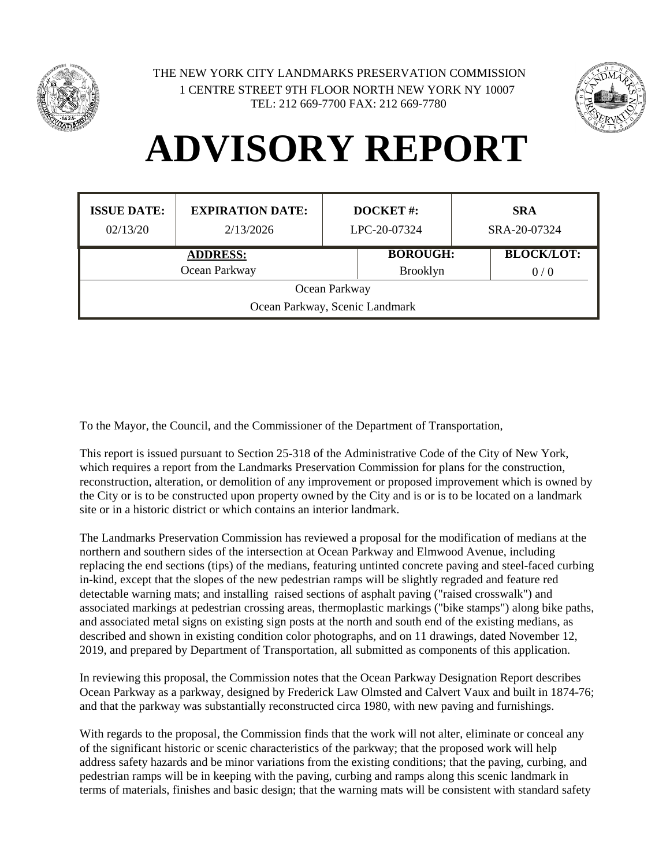



## **ADVISORY REPORT**

| <b>ISSUE DATE:</b><br>02/13/20 | <b>EXPIRATION DATE:</b><br>2/13/2026 | <b>DOCKET#:</b><br>LPC-20-07324 | <b>SRA</b><br>SRA-20-07324 |  |  |
|--------------------------------|--------------------------------------|---------------------------------|----------------------------|--|--|
|                                | <b>ADDRESS:</b>                      | <b>BOROUGH:</b>                 | <b>BLOCK/LOT:</b>          |  |  |
| Ocean Parkway                  |                                      | <b>Brooklyn</b>                 | 0/0                        |  |  |
| Ocean Parkway                  |                                      |                                 |                            |  |  |
| Ocean Parkway, Scenic Landmark |                                      |                                 |                            |  |  |

To the Mayor, the Council, and the Commissioner of the Department of Transportation,

This report is issued pursuant to Section 25-318 of the Administrative Code of the City of New York, which requires a report from the Landmarks Preservation Commission for plans for the construction, reconstruction, alteration, or demolition of any improvement or proposed improvement which is owned by the City or is to be constructed upon property owned by the City and is or is to be located on a landmark site or in a historic district or which contains an interior landmark.

The Landmarks Preservation Commission has reviewed a proposal for the modification of medians at the northern and southern sides of the intersection at Ocean Parkway and Elmwood Avenue, including replacing the end sections (tips) of the medians, featuring untinted concrete paving and steel-faced curbing in-kind, except that the slopes of the new pedestrian ramps will be slightly regraded and feature red detectable warning mats; and installing raised sections of asphalt paving ("raised crosswalk") and associated markings at pedestrian crossing areas, thermoplastic markings ("bike stamps") along bike paths, and associated metal signs on existing sign posts at the north and south end of the existing medians, as described and shown in existing condition color photographs, and on 11 drawings, dated November 12, 2019, and prepared by Department of Transportation, all submitted as components of this application.

In reviewing this proposal, the Commission notes that the Ocean Parkway Designation Report describes Ocean Parkway as a parkway, designed by Frederick Law Olmsted and Calvert Vaux and built in 1874-76; and that the parkway was substantially reconstructed circa 1980, with new paving and furnishings.

With regards to the proposal, the Commission finds that the work will not alter, eliminate or conceal any of the significant historic or scenic characteristics of the parkway; that the proposed work will help address safety hazards and be minor variations from the existing conditions; that the paving, curbing, and pedestrian ramps will be in keeping with the paving, curbing and ramps along this scenic landmark in terms of materials, finishes and basic design; that the warning mats will be consistent with standard safety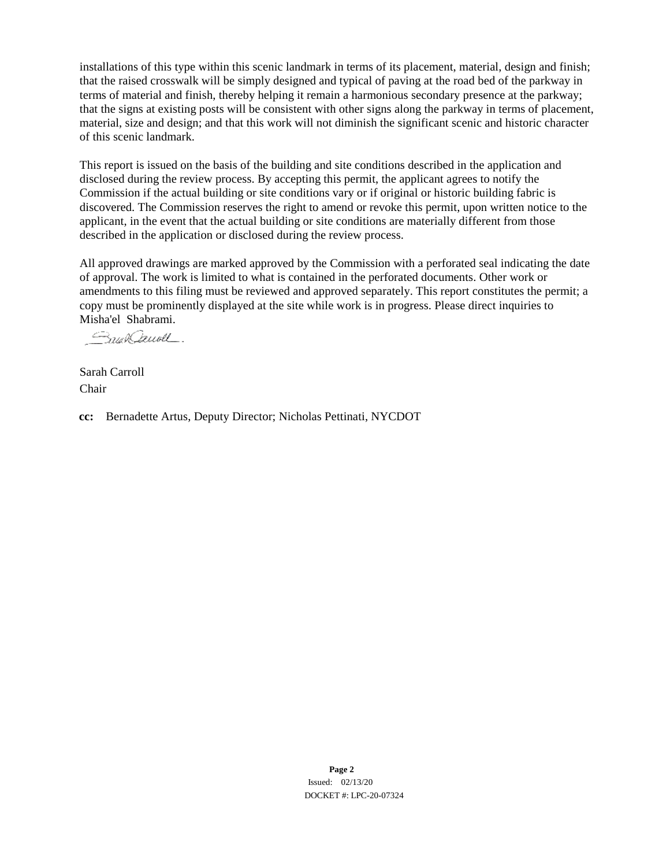installations of this type within this scenic landmark in terms of its placement, material, design and finish; that the raised crosswalk will be simply designed and typical of paving at the road bed of the parkway in terms of material and finish, thereby helping it remain a harmonious secondary presence at the parkway; that the signs at existing posts will be consistent with other signs along the parkway in terms of placement, material, size and design; and that this work will not diminish the significant scenic and historic character of this scenic landmark.

This report is issued on the basis of the building and site conditions described in the application and disclosed during the review process. By accepting this permit, the applicant agrees to notify the Commission if the actual building or site conditions vary or if original or historic building fabric is discovered. The Commission reserves the right to amend or revoke this permit, upon written notice to the applicant, in the event that the actual building or site conditions are materially different from those described in the application or disclosed during the review process.

All approved drawings are marked approved by the Commission with a perforated seal indicating the date of approval. The work is limited to what is contained in the perforated documents. Other work or amendments to this filing must be reviewed and approved separately. This report constitutes the permit; a copy must be prominently displayed at the site while work is in progress. Please direct inquiries to Misha'el Shabrami.

Smal Cauoll.

Sarah Carroll Chair

**cc:** Bernadette Artus, Deputy Director; Nicholas Pettinati, NYCDOT

**Page 2** Issued: 02/13/20 DOCKET #: LPC-20-07324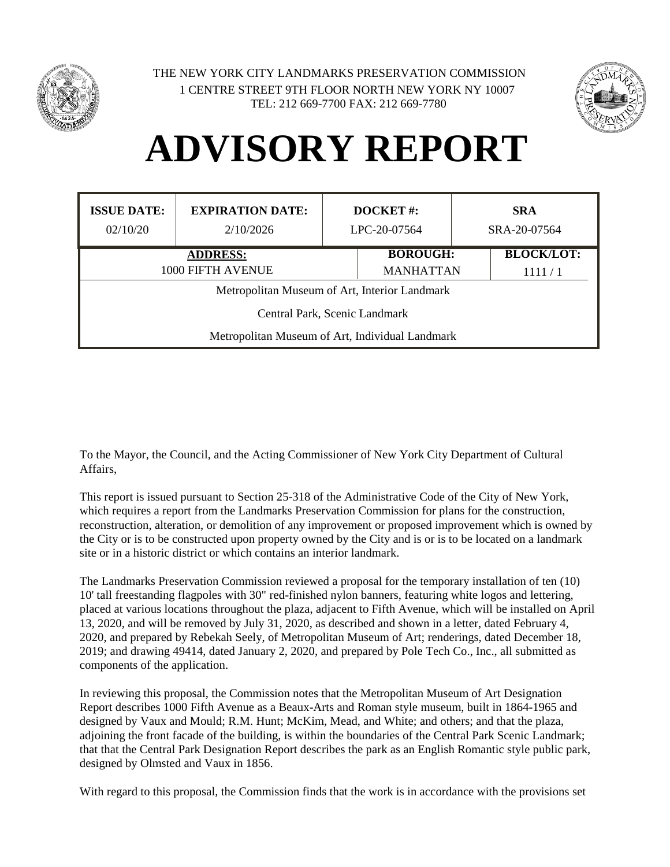

1 CENTRE STREET 9TH FLOOR NORTH NEW YORK NY 10007 TEL: 212 669-7700 FAX: 212 669-7780 THE NEW YORK CITY LANDMARKS PRESERVATION COMMISSION



## **ADVISORY REPORT**

| <b>ISSUE DATE:</b><br>02/10/20                  | <b>EXPIRATION DATE:</b><br>2/10/2026 | <b>DOCKET#:</b><br>LPC-20-07564 |                 |        | <b>SRA</b><br>SRA-20-07564 |
|-------------------------------------------------|--------------------------------------|---------------------------------|-----------------|--------|----------------------------|
|                                                 | <b>ADDRESS:</b>                      |                                 | <b>BOROUGH:</b> |        | <b>BLOCK/LOT:</b>          |
| 1000 FIFTH AVENUE                               |                                      | <b>MANHATTAN</b>                |                 | 1111/1 |                            |
| Metropolitan Museum of Art, Interior Landmark   |                                      |                                 |                 |        |                            |
| Central Park, Scenic Landmark                   |                                      |                                 |                 |        |                            |
| Metropolitan Museum of Art, Individual Landmark |                                      |                                 |                 |        |                            |

To the Mayor, the Council, and the Acting Commissioner of New York City Department of Cultural Affairs,

This report is issued pursuant to Section 25-318 of the Administrative Code of the City of New York, which requires a report from the Landmarks Preservation Commission for plans for the construction, reconstruction, alteration, or demolition of any improvement or proposed improvement which is owned by the City or is to be constructed upon property owned by the City and is or is to be located on a landmark site or in a historic district or which contains an interior landmark.

The Landmarks Preservation Commission reviewed a proposal for the temporary installation of ten (10) 10' tall freestanding flagpoles with 30" red-finished nylon banners, featuring white logos and lettering, placed at various locations throughout the plaza, adjacent to Fifth Avenue, which will be installed on April 13, 2020, and will be removed by July 31, 2020, as described and shown in a letter, dated February 4, 2020, and prepared by Rebekah Seely, of Metropolitan Museum of Art; renderings, dated December 18, 2019; and drawing 49414, dated January 2, 2020, and prepared by Pole Tech Co., Inc., all submitted as components of the application.

In reviewing this proposal, the Commission notes that the Metropolitan Museum of Art Designation Report describes 1000 Fifth Avenue as a Beaux-Arts and Roman style museum, built in 1864-1965 and designed by Vaux and Mould; R.M. Hunt; McKim, Mead, and White; and others; and that the plaza, adjoining the front facade of the building, is within the boundaries of the Central Park Scenic Landmark; that that the Central Park Designation Report describes the park as an English Romantic style public park, designed by Olmsted and Vaux in 1856.

With regard to this proposal, the Commission finds that the work is in accordance with the provisions set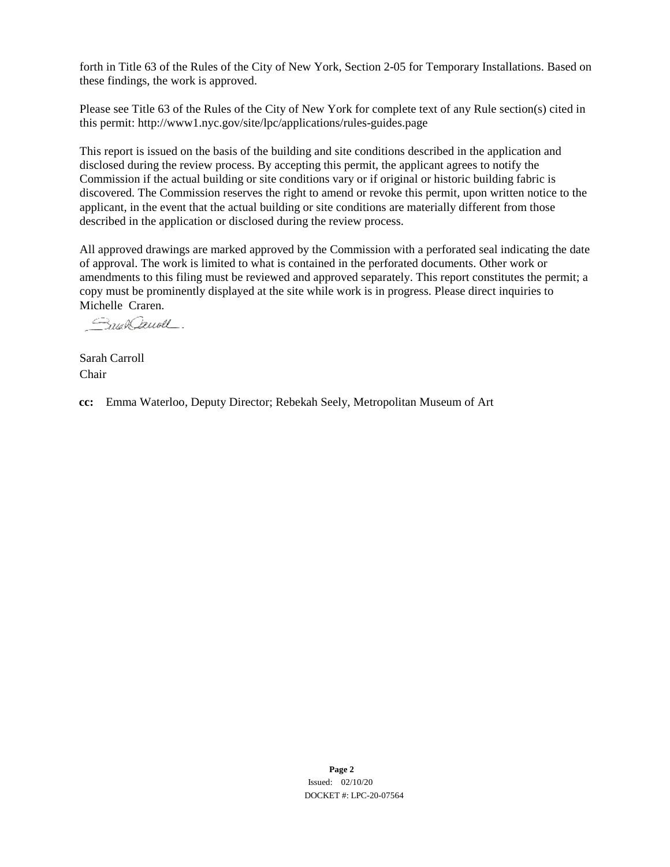forth in Title 63 of the Rules of the City of New York, Section 2-05 for Temporary Installations. Based on these findings, the work is approved.

Please see Title 63 of the Rules of the City of New York for complete text of any Rule section(s) cited in this permit: http://www1.nyc.gov/site/lpc/applications/rules-guides.page

This report is issued on the basis of the building and site conditions described in the application and disclosed during the review process. By accepting this permit, the applicant agrees to notify the Commission if the actual building or site conditions vary or if original or historic building fabric is discovered. The Commission reserves the right to amend or revoke this permit, upon written notice to the applicant, in the event that the actual building or site conditions are materially different from those described in the application or disclosed during the review process.

All approved drawings are marked approved by the Commission with a perforated seal indicating the date of approval. The work is limited to what is contained in the perforated documents. Other work or amendments to this filing must be reviewed and approved separately. This report constitutes the permit; a copy must be prominently displayed at the site while work is in progress. Please direct inquiries to Michelle Craren.

Royal Duall

Sarah Carroll Chair

**cc:** Emma Waterloo, Deputy Director; Rebekah Seely, Metropolitan Museum of Art

**Page 2** Issued: 02/10/20 DOCKET #: LPC-20-07564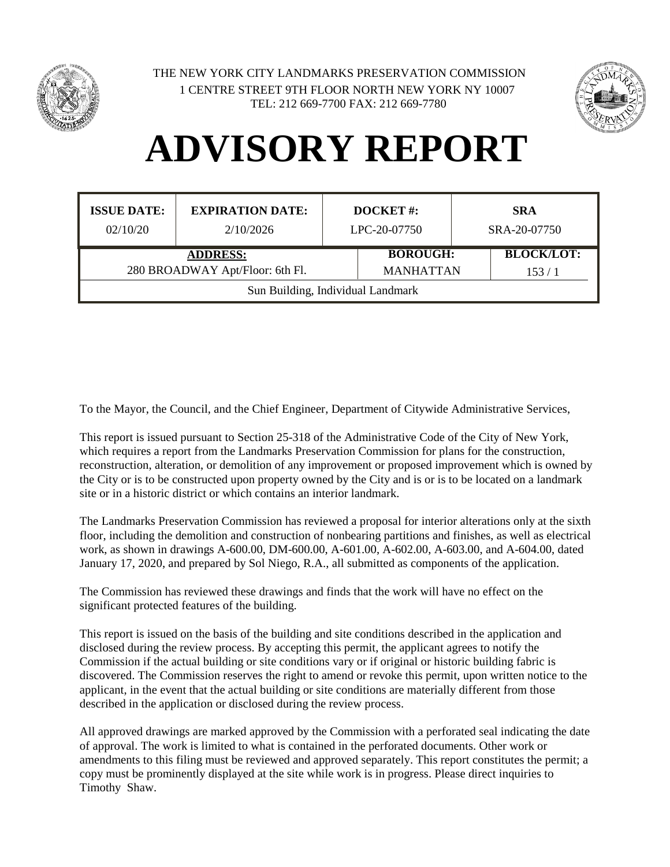



## **ADVISORY REPORT**

| <b>ISSUE DATE:</b><br>02/10/20                                                | <b>EXPIRATION DATE:</b><br>2/10/2026 | DOCKET#:<br>LPC-20-07750 |                                                          | <b>SRA</b><br>SRA-20-07750 |  |
|-------------------------------------------------------------------------------|--------------------------------------|--------------------------|----------------------------------------------------------|----------------------------|--|
| <b>ADDRESS:</b>                                                               |                                      |                          | <b>BLOCK/LOT:</b><br><b>BOROUGH:</b><br><b>MANHATTAN</b> |                            |  |
| 280 BROADWAY Apt/Floor: 6th Fl.<br>153/1<br>Sun Building, Individual Landmark |                                      |                          |                                                          |                            |  |

To the Mayor, the Council, and the Chief Engineer, Department of Citywide Administrative Services,

This report is issued pursuant to Section 25-318 of the Administrative Code of the City of New York, which requires a report from the Landmarks Preservation Commission for plans for the construction, reconstruction, alteration, or demolition of any improvement or proposed improvement which is owned by the City or is to be constructed upon property owned by the City and is or is to be located on a landmark site or in a historic district or which contains an interior landmark.

The Landmarks Preservation Commission has reviewed a proposal for interior alterations only at the sixth floor, including the demolition and construction of nonbearing partitions and finishes, as well as electrical work, as shown in drawings A-600.00, DM-600.00, A-601.00, A-602.00, A-603.00, and A-604.00, dated January 17, 2020, and prepared by Sol Niego, R.A., all submitted as components of the application.

The Commission has reviewed these drawings and finds that the work will have no effect on the significant protected features of the building.

This report is issued on the basis of the building and site conditions described in the application and disclosed during the review process. By accepting this permit, the applicant agrees to notify the Commission if the actual building or site conditions vary or if original or historic building fabric is discovered. The Commission reserves the right to amend or revoke this permit, upon written notice to the applicant, in the event that the actual building or site conditions are materially different from those described in the application or disclosed during the review process.

All approved drawings are marked approved by the Commission with a perforated seal indicating the date of approval. The work is limited to what is contained in the perforated documents. Other work or amendments to this filing must be reviewed and approved separately. This report constitutes the permit; a copy must be prominently displayed at the site while work is in progress. Please direct inquiries to Timothy Shaw.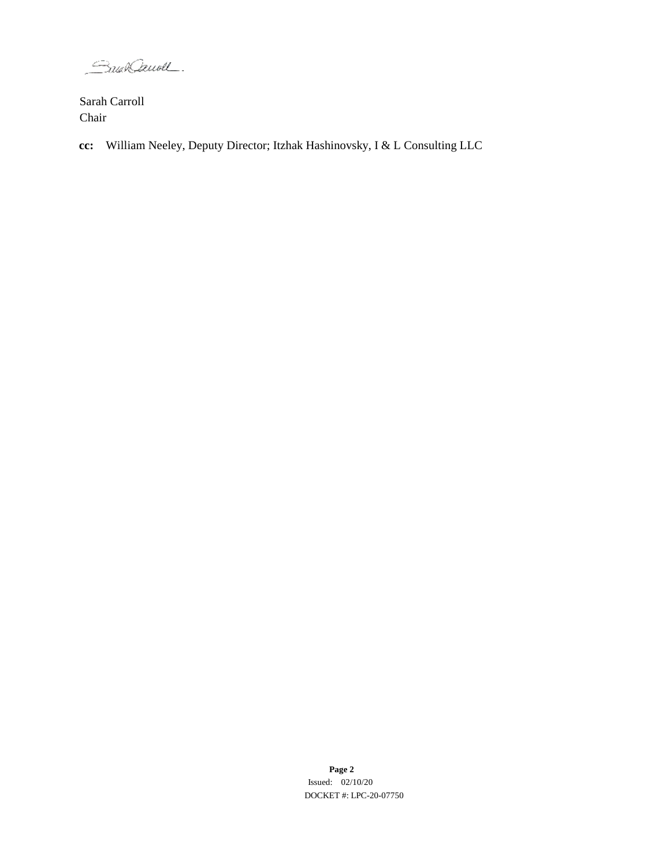SaunCaunel.

Sarah Carroll Chair

**cc:** William Neeley, Deputy Director; Itzhak Hashinovsky, I & L Consulting LLC

**Page 2** Issued: 02/10/20 DOCKET #: LPC-20-07750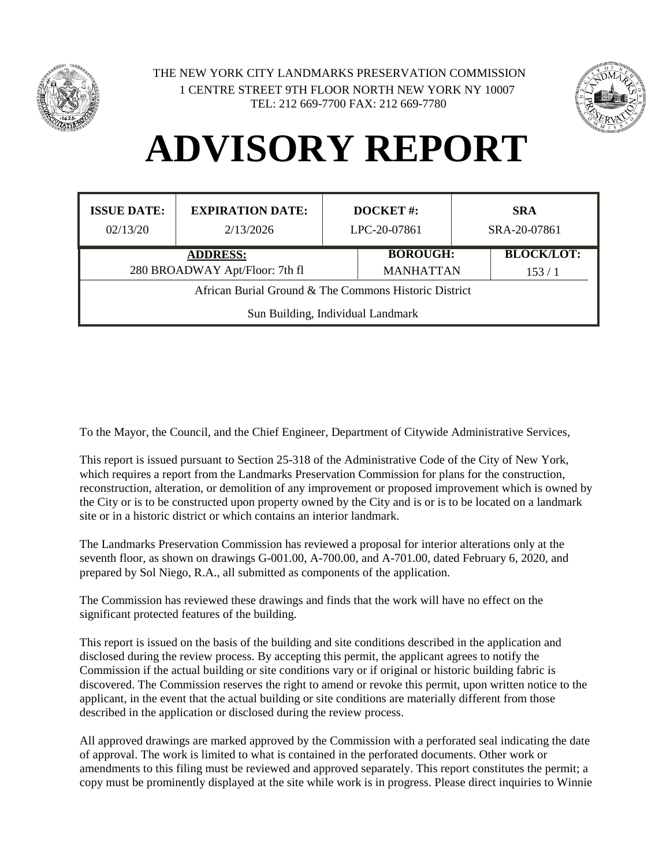



## **ADVISORY REPORT**

| <b>ISSUE DATE:</b>                                    | <b>EXPIRATION DATE:</b> | <b>DOCKET#:</b> |                  |  | <b>SRA</b>        |
|-------------------------------------------------------|-------------------------|-----------------|------------------|--|-------------------|
| 02/13/20                                              | 2/13/2026               | LPC-20-07861    |                  |  | SRA-20-07861      |
| <b>ADDRESS:</b>                                       |                         |                 | <b>BOROUGH:</b>  |  | <b>BLOCK/LOT:</b> |
| 280 BROADWAY Apt/Floor: 7th fl                        |                         |                 | <b>MANHATTAN</b> |  | 153/1             |
| African Burial Ground & The Commons Historic District |                         |                 |                  |  |                   |
| Sun Building, Individual Landmark                     |                         |                 |                  |  |                   |

To the Mayor, the Council, and the Chief Engineer, Department of Citywide Administrative Services,

This report is issued pursuant to Section 25-318 of the Administrative Code of the City of New York, which requires a report from the Landmarks Preservation Commission for plans for the construction, reconstruction, alteration, or demolition of any improvement or proposed improvement which is owned by the City or is to be constructed upon property owned by the City and is or is to be located on a landmark site or in a historic district or which contains an interior landmark.

The Landmarks Preservation Commission has reviewed a proposal for interior alterations only at the seventh floor, as shown on drawings G-001.00, A-700.00, and A-701.00, dated February 6, 2020, and prepared by Sol Niego, R.A., all submitted as components of the application.

The Commission has reviewed these drawings and finds that the work will have no effect on the significant protected features of the building.

This report is issued on the basis of the building and site conditions described in the application and disclosed during the review process. By accepting this permit, the applicant agrees to notify the Commission if the actual building or site conditions vary or if original or historic building fabric is discovered. The Commission reserves the right to amend or revoke this permit, upon written notice to the applicant, in the event that the actual building or site conditions are materially different from those described in the application or disclosed during the review process.

All approved drawings are marked approved by the Commission with a perforated seal indicating the date of approval. The work is limited to what is contained in the perforated documents. Other work or amendments to this filing must be reviewed and approved separately. This report constitutes the permit; a copy must be prominently displayed at the site while work is in progress. Please direct inquiries to Winnie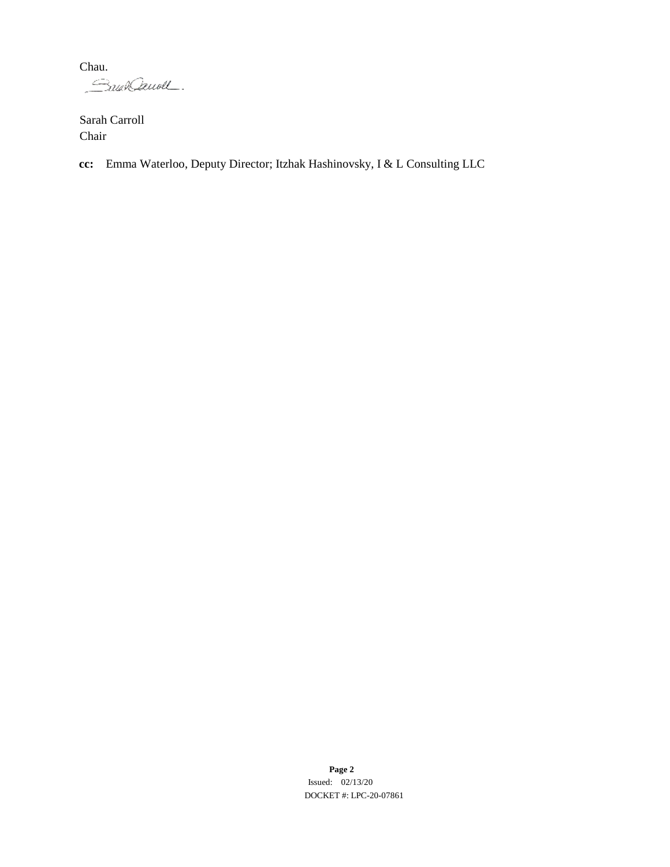Chau.<br>*Caula Cauvell*.

Sarah Carroll Chair

**cc:** Emma Waterloo, Deputy Director; Itzhak Hashinovsky, I & L Consulting LLC

**Page 2** Issued: 02/13/20 DOCKET #: LPC-20-07861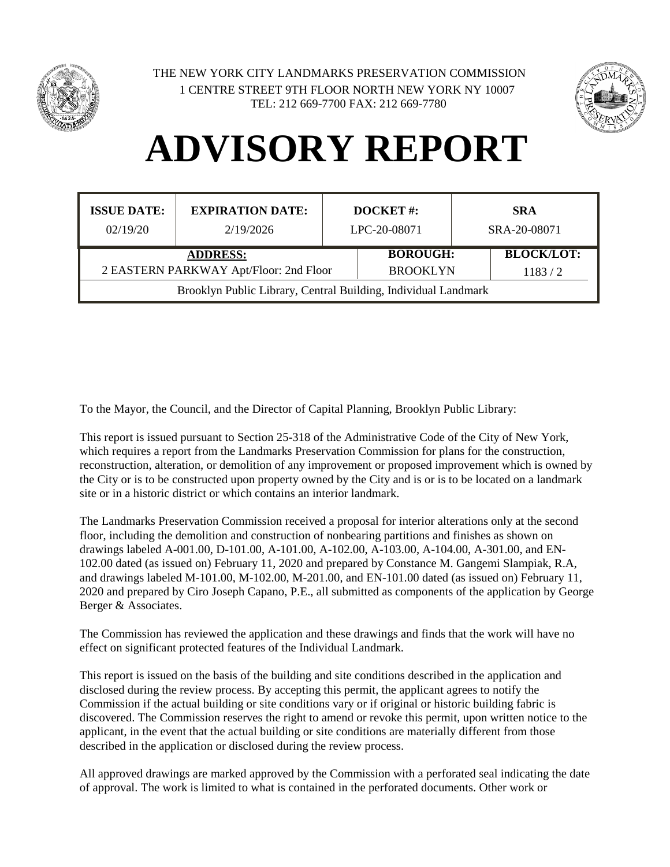



## **ADVISORY REPORT**

| <b>ISSUE DATE:</b><br>02/19/20                                 | <b>EXPIRATION DATE:</b><br>2/19/2026 | <b>DOCKET#:</b><br>LPC-20-08071 |                 | <b>SRA</b><br>SRA-20-08071 |                   |
|----------------------------------------------------------------|--------------------------------------|---------------------------------|-----------------|----------------------------|-------------------|
|                                                                | <b>ADDRESS:</b>                      |                                 | <b>BOROUGH:</b> |                            | <b>BLOCK/LOT:</b> |
| 2 EASTERN PARKWAY Apt/Floor: 2nd Floor                         |                                      |                                 | <b>BROOKLYN</b> |                            | 1183/2            |
| Brooklyn Public Library, Central Building, Individual Landmark |                                      |                                 |                 |                            |                   |

To the Mayor, the Council, and the Director of Capital Planning, Brooklyn Public Library:

This report is issued pursuant to Section 25-318 of the Administrative Code of the City of New York, which requires a report from the Landmarks Preservation Commission for plans for the construction, reconstruction, alteration, or demolition of any improvement or proposed improvement which is owned by the City or is to be constructed upon property owned by the City and is or is to be located on a landmark site or in a historic district or which contains an interior landmark.

The Landmarks Preservation Commission received a proposal for interior alterations only at the second floor, including the demolition and construction of nonbearing partitions and finishes as shown on drawings labeled A-001.00, D-101.00, A-101.00, A-102.00, A-103.00, A-104.00, A-301.00, and EN-102.00 dated (as issued on) February 11, 2020 and prepared by Constance M. Gangemi Slampiak, R.A, and drawings labeled M-101.00, M-102.00, M-201.00, and EN-101.00 dated (as issued on) February 11, 2020 and prepared by Ciro Joseph Capano, P.E., all submitted as components of the application by George Berger & Associates.

The Commission has reviewed the application and these drawings and finds that the work will have no effect on significant protected features of the Individual Landmark.

This report is issued on the basis of the building and site conditions described in the application and disclosed during the review process. By accepting this permit, the applicant agrees to notify the Commission if the actual building or site conditions vary or if original or historic building fabric is discovered. The Commission reserves the right to amend or revoke this permit, upon written notice to the applicant, in the event that the actual building or site conditions are materially different from those described in the application or disclosed during the review process.

All approved drawings are marked approved by the Commission with a perforated seal indicating the date of approval. The work is limited to what is contained in the perforated documents. Other work or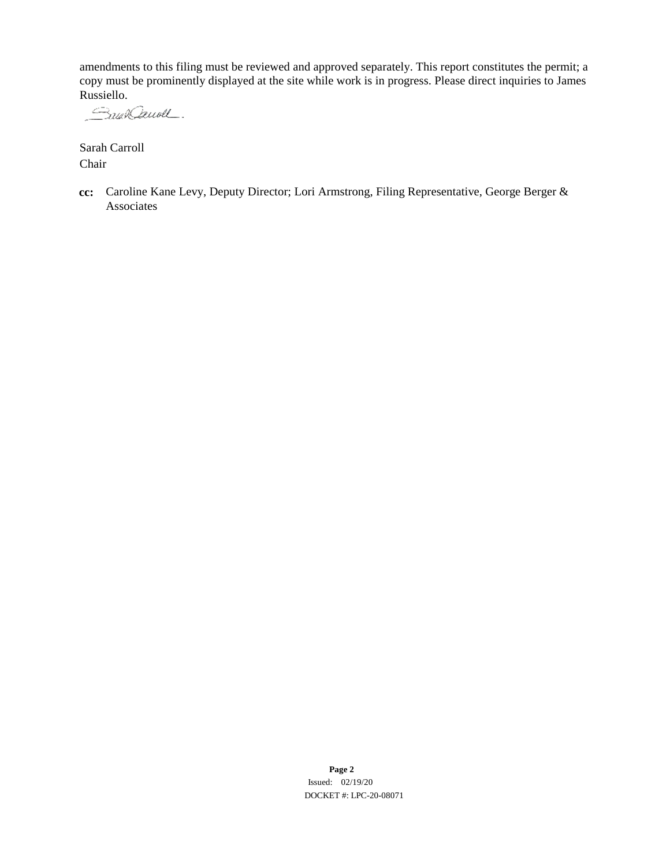amendments to this filing must be reviewed and approved separately. This report constitutes the permit; a copy must be prominently displayed at the site while work is in progress. Please direct inquiries to James Russiello.

Saun Cauvell.

Sarah Carroll Chair

**cc:** Caroline Kane Levy, Deputy Director; Lori Armstrong, Filing Representative, George Berger & Associates

> **Page 2** Issued: 02/19/20 DOCKET #: LPC-20-08071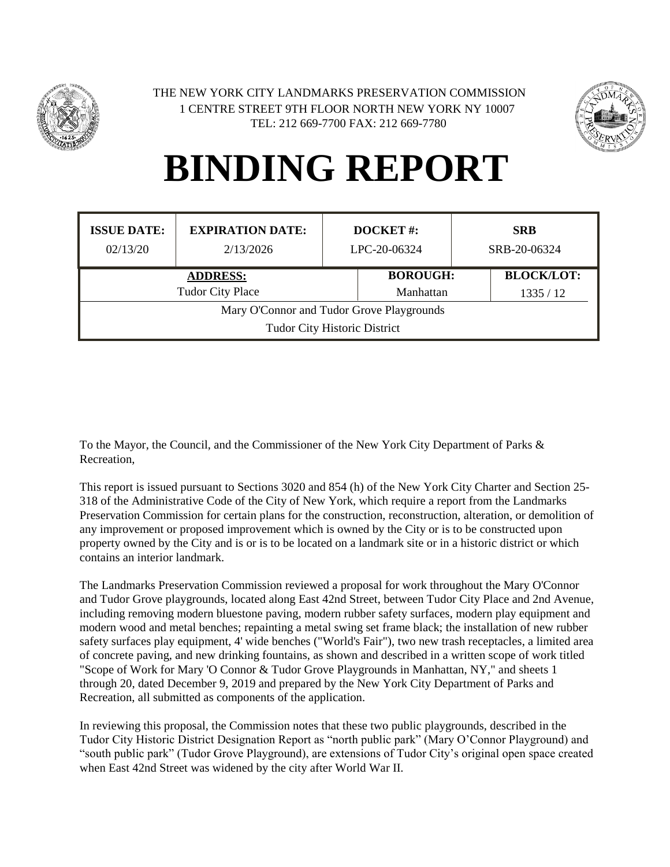



| <b>ISSUE DATE:</b>                                                               | <b>EXPIRATION DATE:</b> | <b>DOCKET#:</b> |                   |  |  | <b>SRB</b>   |
|----------------------------------------------------------------------------------|-------------------------|-----------------|-------------------|--|--|--------------|
| 02/13/20                                                                         | 2/13/2026               | LPC-20-06324    |                   |  |  | SRB-20-06324 |
| <b>ADDRESS:</b>                                                                  |                         | <b>BOROUGH:</b> | <b>BLOCK/LOT:</b> |  |  |              |
| <b>Tudor City Place</b>                                                          |                         | Manhattan       | 1335/12           |  |  |              |
| Mary O'Connor and Tudor Grove Playgrounds<br><b>Tudor City Historic District</b> |                         |                 |                   |  |  |              |

To the Mayor, the Council, and the Commissioner of the New York City Department of Parks & Recreation,

This report is issued pursuant to Sections 3020 and 854 (h) of the New York City Charter and Section 25- 318 of the Administrative Code of the City of New York, which require a report from the Landmarks Preservation Commission for certain plans for the construction, reconstruction, alteration, or demolition of any improvement or proposed improvement which is owned by the City or is to be constructed upon property owned by the City and is or is to be located on a landmark site or in a historic district or which contains an interior landmark.

The Landmarks Preservation Commission reviewed a proposal for work throughout the Mary O'Connor and Tudor Grove playgrounds, located along East 42nd Street, between Tudor City Place and 2nd Avenue, including removing modern bluestone paving, modern rubber safety surfaces, modern play equipment and modern wood and metal benches; repainting a metal swing set frame black; the installation of new rubber safety surfaces play equipment, 4' wide benches ("World's Fair"), two new trash receptacles, a limited area of concrete paving, and new drinking fountains, as shown and described in a written scope of work titled "Scope of Work for Mary 'O Connor & Tudor Grove Playgrounds in Manhattan, NY," and sheets 1 through 20, dated December 9, 2019 and prepared by the New York City Department of Parks and Recreation, all submitted as components of the application.

In reviewing this proposal, the Commission notes that these two public playgrounds, described in the Tudor City Historic District Designation Report as "north public park" (Mary O'Connor Playground) and "south public park" (Tudor Grove Playground), are extensions of Tudor City's original open space created when East 42nd Street was widened by the city after World War II.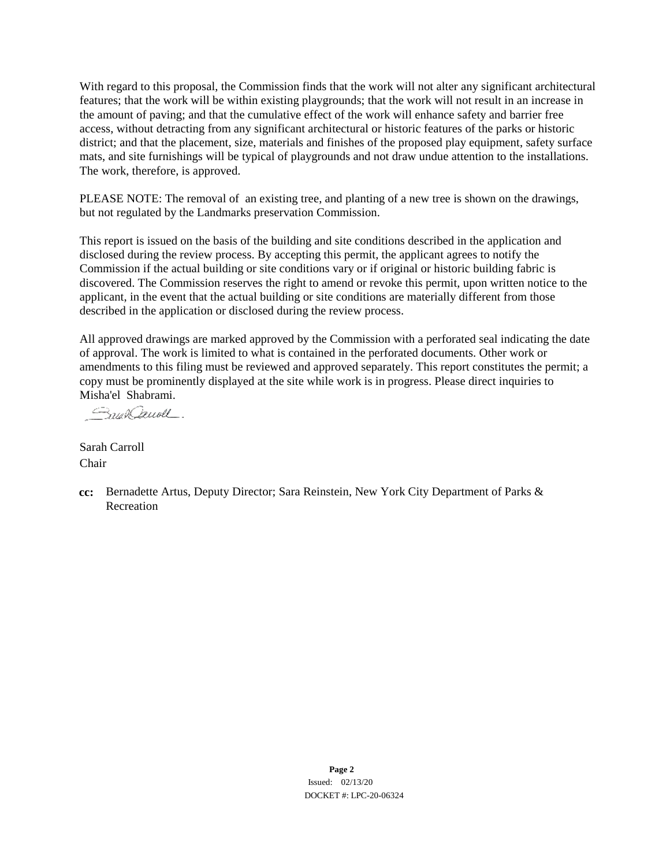With regard to this proposal, the Commission finds that the work will not alter any significant architectural features; that the work will be within existing playgrounds; that the work will not result in an increase in the amount of paving; and that the cumulative effect of the work will enhance safety and barrier free access, without detracting from any significant architectural or historic features of the parks or historic district; and that the placement, size, materials and finishes of the proposed play equipment, safety surface mats, and site furnishings will be typical of playgrounds and not draw undue attention to the installations. The work, therefore, is approved.

PLEASE NOTE: The removal of an existing tree, and planting of a new tree is shown on the drawings, but not regulated by the Landmarks preservation Commission.

This report is issued on the basis of the building and site conditions described in the application and disclosed during the review process. By accepting this permit, the applicant agrees to notify the Commission if the actual building or site conditions vary or if original or historic building fabric is discovered. The Commission reserves the right to amend or revoke this permit, upon written notice to the applicant, in the event that the actual building or site conditions are materially different from those described in the application or disclosed during the review process.

All approved drawings are marked approved by the Commission with a perforated seal indicating the date of approval. The work is limited to what is contained in the perforated documents. Other work or amendments to this filing must be reviewed and approved separately. This report constitutes the permit; a copy must be prominently displayed at the site while work is in progress. Please direct inquiries to Misha'el Shabrami.

Small Denoll

Sarah Carroll Chair

**cc:** Bernadette Artus, Deputy Director; Sara Reinstein, New York City Department of Parks & Recreation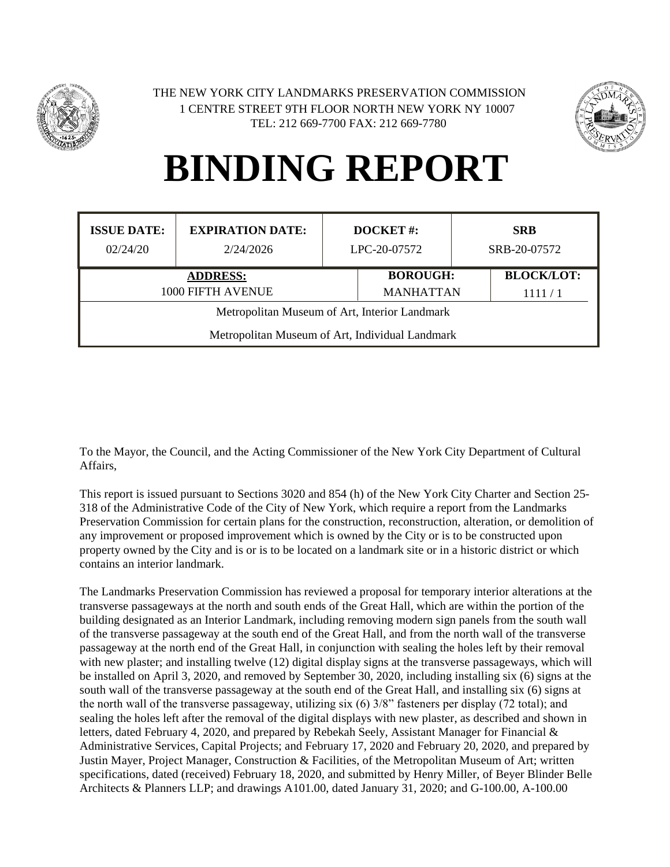



| <b>ISSUE DATE:</b>                              | <b>EXPIRATION DATE:</b> | <b>DOCKET#:</b> |                  |  | <b>SRB</b>        |
|-------------------------------------------------|-------------------------|-----------------|------------------|--|-------------------|
| 02/24/20                                        | 2/24/2026               | LPC-20-07572    |                  |  | SRB-20-07572      |
| <b>ADDRESS:</b>                                 |                         |                 | <b>BOROUGH:</b>  |  | <b>BLOCK/LOT:</b> |
| 1000 FIFTH AVENUE                               |                         |                 | <b>MANHATTAN</b> |  | 1111/1            |
| Metropolitan Museum of Art, Interior Landmark   |                         |                 |                  |  |                   |
| Metropolitan Museum of Art, Individual Landmark |                         |                 |                  |  |                   |

To the Mayor, the Council, and the Acting Commissioner of the New York City Department of Cultural Affairs,

This report is issued pursuant to Sections 3020 and 854 (h) of the New York City Charter and Section 25- 318 of the Administrative Code of the City of New York, which require a report from the Landmarks Preservation Commission for certain plans for the construction, reconstruction, alteration, or demolition of any improvement or proposed improvement which is owned by the City or is to be constructed upon property owned by the City and is or is to be located on a landmark site or in a historic district or which contains an interior landmark.

The Landmarks Preservation Commission has reviewed a proposal for temporary interior alterations at the transverse passageways at the north and south ends of the Great Hall, which are within the portion of the building designated as an Interior Landmark, including removing modern sign panels from the south wall of the transverse passageway at the south end of the Great Hall, and from the north wall of the transverse passageway at the north end of the Great Hall, in conjunction with sealing the holes left by their removal with new plaster; and installing twelve (12) digital display signs at the transverse passageways, which will be installed on April 3, 2020, and removed by September 30, 2020, including installing six (6) signs at the south wall of the transverse passageway at the south end of the Great Hall, and installing six (6) signs at the north wall of the transverse passageway, utilizing six (6) 3/8" fasteners per display (72 total); and sealing the holes left after the removal of the digital displays with new plaster, as described and shown in letters, dated February 4, 2020, and prepared by Rebekah Seely, Assistant Manager for Financial & Administrative Services, Capital Projects; and February 17, 2020 and February 20, 2020, and prepared by Justin Mayer, Project Manager, Construction & Facilities, of the Metropolitan Museum of Art; written specifications, dated (received) February 18, 2020, and submitted by Henry Miller, of Beyer Blinder Belle Architects & Planners LLP; and drawings A101.00, dated January 31, 2020; and G-100.00, A-100.00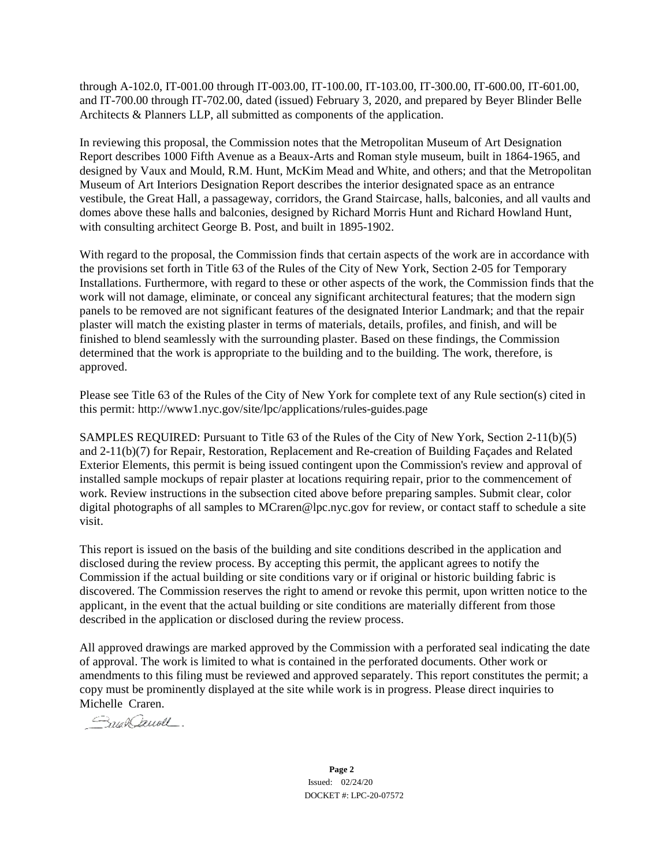through A-102.0, IT-001.00 through IT-003.00, IT-100.00, IT-103.00, IT-300.00, IT-600.00, IT-601.00, and IT-700.00 through IT-702.00, dated (issued) February 3, 2020, and prepared by Beyer Blinder Belle Architects & Planners LLP, all submitted as components of the application.

In reviewing this proposal, the Commission notes that the Metropolitan Museum of Art Designation Report describes 1000 Fifth Avenue as a Beaux-Arts and Roman style museum, built in 1864-1965, and designed by Vaux and Mould, R.M. Hunt, McKim Mead and White, and others; and that the Metropolitan Museum of Art Interiors Designation Report describes the interior designated space as an entrance vestibule, the Great Hall, a passageway, corridors, the Grand Staircase, halls, balconies, and all vaults and domes above these halls and balconies, designed by Richard Morris Hunt and Richard Howland Hunt, with consulting architect George B. Post, and built in 1895-1902.

With regard to the proposal, the Commission finds that certain aspects of the work are in accordance with the provisions set forth in Title 63 of the Rules of the City of New York, Section 2-05 for Temporary Installations. Furthermore, with regard to these or other aspects of the work, the Commission finds that the work will not damage, eliminate, or conceal any significant architectural features; that the modern sign panels to be removed are not significant features of the designated Interior Landmark; and that the repair plaster will match the existing plaster in terms of materials, details, profiles, and finish, and will be finished to blend seamlessly with the surrounding plaster. Based on these findings, the Commission determined that the work is appropriate to the building and to the building. The work, therefore, is approved.

Please see Title 63 of the Rules of the City of New York for complete text of any Rule section(s) cited in this permit: http://www1.nyc.gov/site/lpc/applications/rules-guides.page

SAMPLES REQUIRED: Pursuant to Title 63 of the Rules of the City of New York, Section 2-11(b)(5) and 2-11(b)(7) for Repair, Restoration, Replacement and Re-creation of Building Façades and Related Exterior Elements, this permit is being issued contingent upon the Commission's review and approval of installed sample mockups of repair plaster at locations requiring repair, prior to the commencement of work. Review instructions in the subsection cited above before preparing samples. Submit clear, color digital photographs of all samples to MCraren@lpc.nyc.gov for review, or contact staff to schedule a site visit.

This report is issued on the basis of the building and site conditions described in the application and disclosed during the review process. By accepting this permit, the applicant agrees to notify the Commission if the actual building or site conditions vary or if original or historic building fabric is discovered. The Commission reserves the right to amend or revoke this permit, upon written notice to the applicant, in the event that the actual building or site conditions are materially different from those described in the application or disclosed during the review process.

All approved drawings are marked approved by the Commission with a perforated seal indicating the date of approval. The work is limited to what is contained in the perforated documents. Other work or amendments to this filing must be reviewed and approved separately. This report constitutes the permit; a copy must be prominently displayed at the site while work is in progress. Please direct inquiries to Michelle Craren.

Small Denoll

**Page 2** Issued: 02/24/20 DOCKET #: LPC-20-07572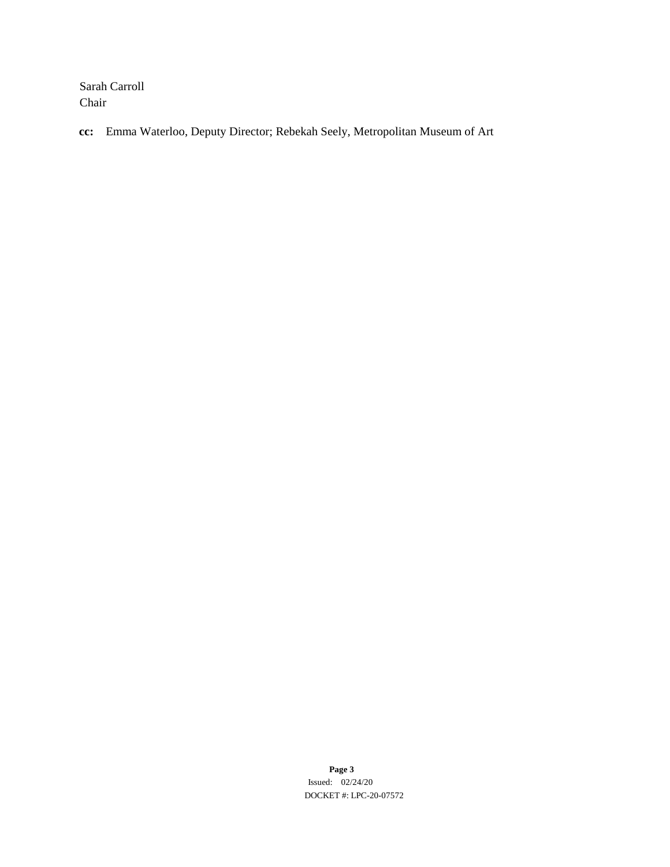Sarah Carroll Chair

**cc:** Emma Waterloo, Deputy Director; Rebekah Seely, Metropolitan Museum of Art

**Page 3** Issued: 02/24/20 DOCKET #: LPC-20-07572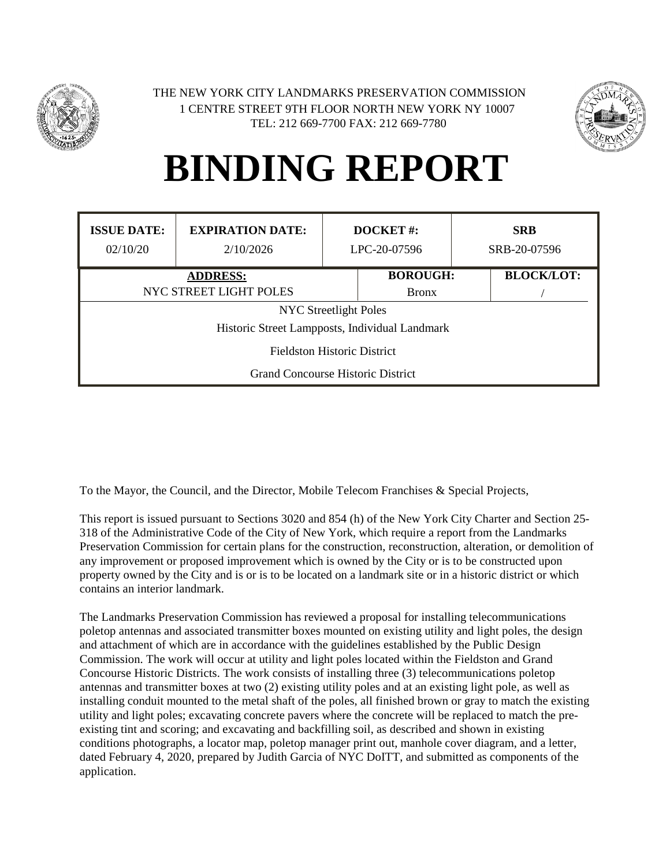



| <b>ISSUE DATE:</b><br>02/10/20           | <b>EXPIRATION DATE:</b><br>2/10/2026           | DOCKET#:<br>LPC-20-07596 |                 | <b>SRB</b><br>SRB-20-07596 |  |  |
|------------------------------------------|------------------------------------------------|--------------------------|-----------------|----------------------------|--|--|
|                                          | <b>ADDRESS:</b>                                |                          | <b>BOROUGH:</b> | <b>BLOCK/LOT:</b>          |  |  |
|                                          | NYC STREET LIGHT POLES                         |                          |                 |                            |  |  |
|                                          | <b>NYC</b> Streetlight Poles                   |                          |                 |                            |  |  |
|                                          | Historic Street Lampposts, Individual Landmark |                          |                 |                            |  |  |
| <b>Fieldston Historic District</b>       |                                                |                          |                 |                            |  |  |
| <b>Grand Concourse Historic District</b> |                                                |                          |                 |                            |  |  |

To the Mayor, the Council, and the Director, Mobile Telecom Franchises & Special Projects,

This report is issued pursuant to Sections 3020 and 854 (h) of the New York City Charter and Section 25- 318 of the Administrative Code of the City of New York, which require a report from the Landmarks Preservation Commission for certain plans for the construction, reconstruction, alteration, or demolition of any improvement or proposed improvement which is owned by the City or is to be constructed upon property owned by the City and is or is to be located on a landmark site or in a historic district or which contains an interior landmark.

The Landmarks Preservation Commission has reviewed a proposal for installing telecommunications poletop antennas and associated transmitter boxes mounted on existing utility and light poles, the design and attachment of which are in accordance with the guidelines established by the Public Design Commission. The work will occur at utility and light poles located within the Fieldston and Grand Concourse Historic Districts. The work consists of installing three (3) telecommunications poletop antennas and transmitter boxes at two (2) existing utility poles and at an existing light pole, as well as installing conduit mounted to the metal shaft of the poles, all finished brown or gray to match the existing utility and light poles; excavating concrete pavers where the concrete will be replaced to match the preexisting tint and scoring; and excavating and backfilling soil, as described and shown in existing conditions photographs, a locator map, poletop manager print out, manhole cover diagram, and a letter, dated February 4, 2020, prepared by Judith Garcia of NYC DoITT, and submitted as components of the application.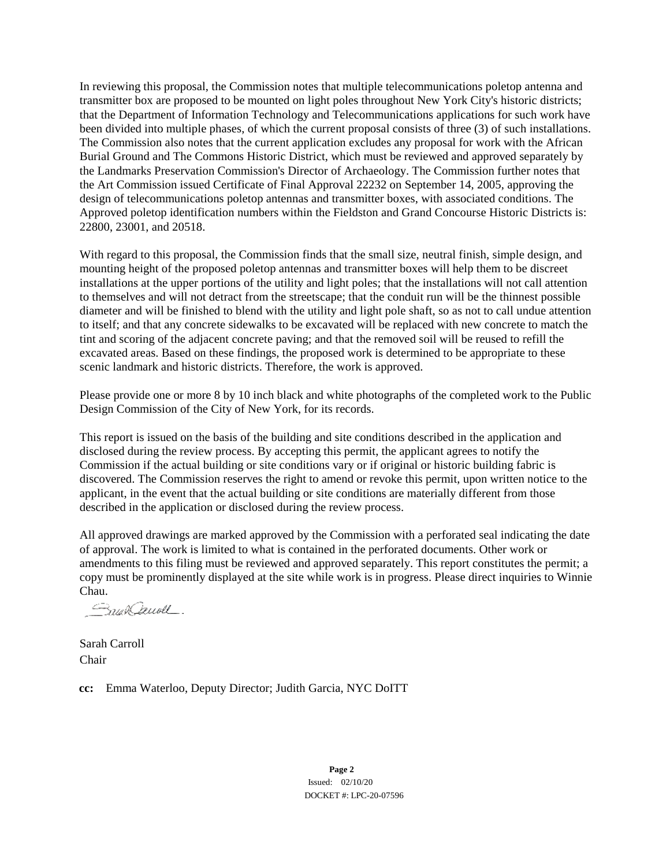In reviewing this proposal, the Commission notes that multiple telecommunications poletop antenna and transmitter box are proposed to be mounted on light poles throughout New York City's historic districts; that the Department of Information Technology and Telecommunications applications for such work have been divided into multiple phases, of which the current proposal consists of three (3) of such installations. The Commission also notes that the current application excludes any proposal for work with the African Burial Ground and The Commons Historic District, which must be reviewed and approved separately by the Landmarks Preservation Commission's Director of Archaeology. The Commission further notes that the Art Commission issued Certificate of Final Approval 22232 on September 14, 2005, approving the design of telecommunications poletop antennas and transmitter boxes, with associated conditions. The Approved poletop identification numbers within the Fieldston and Grand Concourse Historic Districts is: 22800, 23001, and 20518.

With regard to this proposal, the Commission finds that the small size, neutral finish, simple design, and mounting height of the proposed poletop antennas and transmitter boxes will help them to be discreet installations at the upper portions of the utility and light poles; that the installations will not call attention to themselves and will not detract from the streetscape; that the conduit run will be the thinnest possible diameter and will be finished to blend with the utility and light pole shaft, so as not to call undue attention to itself; and that any concrete sidewalks to be excavated will be replaced with new concrete to match the tint and scoring of the adjacent concrete paving; and that the removed soil will be reused to refill the excavated areas. Based on these findings, the proposed work is determined to be appropriate to these scenic landmark and historic districts. Therefore, the work is approved.

Please provide one or more 8 by 10 inch black and white photographs of the completed work to the Public Design Commission of the City of New York, for its records.

This report is issued on the basis of the building and site conditions described in the application and disclosed during the review process. By accepting this permit, the applicant agrees to notify the Commission if the actual building or site conditions vary or if original or historic building fabric is discovered. The Commission reserves the right to amend or revoke this permit, upon written notice to the applicant, in the event that the actual building or site conditions are materially different from those described in the application or disclosed during the review process.

All approved drawings are marked approved by the Commission with a perforated seal indicating the date of approval. The work is limited to what is contained in the perforated documents. Other work or amendments to this filing must be reviewed and approved separately. This report constitutes the permit; a copy must be prominently displayed at the site while work is in progress. Please direct inquiries to Winnie

Chau.<br>*Caula Cheuvell*.

Sarah Carroll Chair

**cc:** Emma Waterloo, Deputy Director; Judith Garcia, NYC DoITT

**Page 2** Issued: 02/10/20 DOCKET #: LPC-20-07596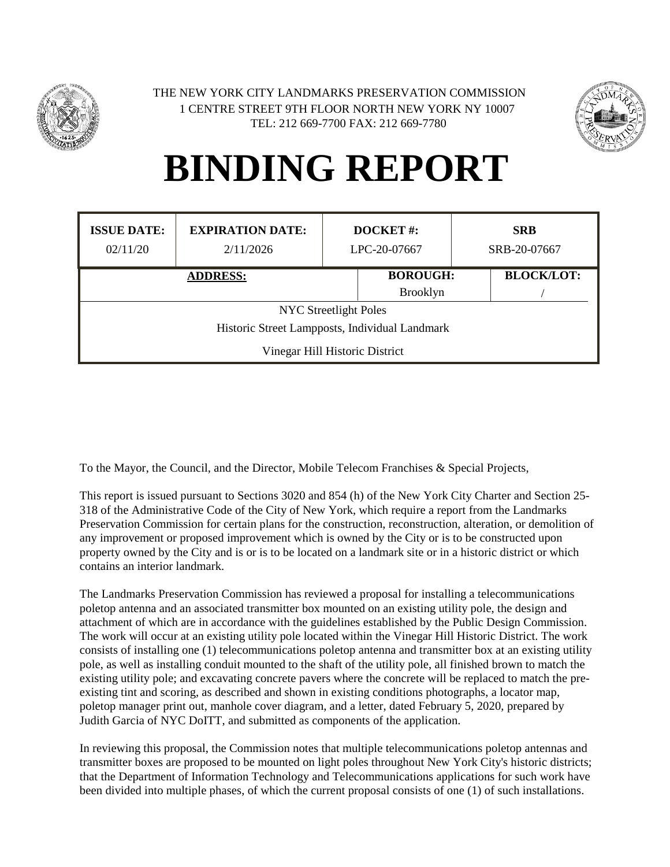



| <b>ISSUE DATE:</b><br>02/11/20                 | <b>EXPIRATION DATE:</b><br>2/11/2026 | <b>DOCKET#:</b><br>LPC-20-07667 |  |                   | <b>SRB</b><br>SRB-20-07667 |  |
|------------------------------------------------|--------------------------------------|---------------------------------|--|-------------------|----------------------------|--|
| <b>ADDRESS:</b>                                |                                      | <b>BOROUGH:</b>                 |  | <b>BLOCK/LOT:</b> |                            |  |
|                                                |                                      | <b>Brooklyn</b>                 |  |                   |                            |  |
|                                                | <b>NYC</b> Streetlight Poles         |                                 |  |                   |                            |  |
| Historic Street Lampposts, Individual Landmark |                                      |                                 |  |                   |                            |  |
| Vinegar Hill Historic District                 |                                      |                                 |  |                   |                            |  |

To the Mayor, the Council, and the Director, Mobile Telecom Franchises & Special Projects,

This report is issued pursuant to Sections 3020 and 854 (h) of the New York City Charter and Section 25- 318 of the Administrative Code of the City of New York, which require a report from the Landmarks Preservation Commission for certain plans for the construction, reconstruction, alteration, or demolition of any improvement or proposed improvement which is owned by the City or is to be constructed upon property owned by the City and is or is to be located on a landmark site or in a historic district or which contains an interior landmark.

The Landmarks Preservation Commission has reviewed a proposal for installing a telecommunications poletop antenna and an associated transmitter box mounted on an existing utility pole, the design and attachment of which are in accordance with the guidelines established by the Public Design Commission. The work will occur at an existing utility pole located within the Vinegar Hill Historic District. The work consists of installing one (1) telecommunications poletop antenna and transmitter box at an existing utility pole, as well as installing conduit mounted to the shaft of the utility pole, all finished brown to match the existing utility pole; and excavating concrete pavers where the concrete will be replaced to match the preexisting tint and scoring, as described and shown in existing conditions photographs, a locator map, poletop manager print out, manhole cover diagram, and a letter, dated February 5, 2020, prepared by Judith Garcia of NYC DoITT, and submitted as components of the application.

In reviewing this proposal, the Commission notes that multiple telecommunications poletop antennas and transmitter boxes are proposed to be mounted on light poles throughout New York City's historic districts; that the Department of Information Technology and Telecommunications applications for such work have been divided into multiple phases, of which the current proposal consists of one (1) of such installations.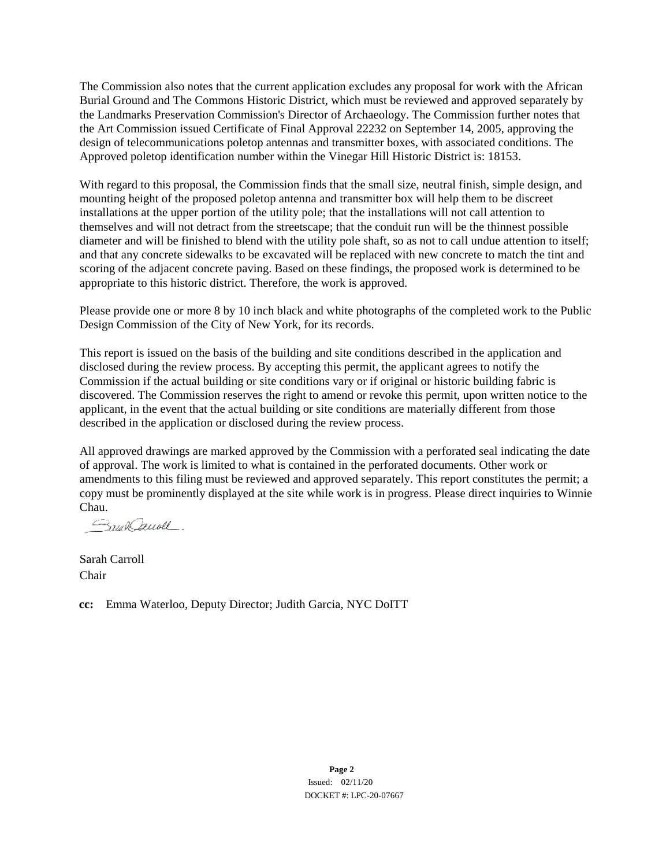The Commission also notes that the current application excludes any proposal for work with the African Burial Ground and The Commons Historic District, which must be reviewed and approved separately by the Landmarks Preservation Commission's Director of Archaeology. The Commission further notes that the Art Commission issued Certificate of Final Approval 22232 on September 14, 2005, approving the design of telecommunications poletop antennas and transmitter boxes, with associated conditions. The Approved poletop identification number within the Vinegar Hill Historic District is: 18153.

With regard to this proposal, the Commission finds that the small size, neutral finish, simple design, and mounting height of the proposed poletop antenna and transmitter box will help them to be discreet installations at the upper portion of the utility pole; that the installations will not call attention to themselves and will not detract from the streetscape; that the conduit run will be the thinnest possible diameter and will be finished to blend with the utility pole shaft, so as not to call undue attention to itself; and that any concrete sidewalks to be excavated will be replaced with new concrete to match the tint and scoring of the adjacent concrete paving. Based on these findings, the proposed work is determined to be appropriate to this historic district. Therefore, the work is approved.

Please provide one or more 8 by 10 inch black and white photographs of the completed work to the Public Design Commission of the City of New York, for its records.

This report is issued on the basis of the building and site conditions described in the application and disclosed during the review process. By accepting this permit, the applicant agrees to notify the Commission if the actual building or site conditions vary or if original or historic building fabric is discovered. The Commission reserves the right to amend or revoke this permit, upon written notice to the applicant, in the event that the actual building or site conditions are materially different from those described in the application or disclosed during the review process.

All approved drawings are marked approved by the Commission with a perforated seal indicating the date of approval. The work is limited to what is contained in the perforated documents. Other work or amendments to this filing must be reviewed and approved separately. This report constitutes the permit; a copy must be prominently displayed at the site while work is in progress. Please direct inquiries to Winnie Chau.

Snaklauoll.

Sarah Carroll Chair

**cc:** Emma Waterloo, Deputy Director; Judith Garcia, NYC DoITT

**Page 2** Issued: 02/11/20 DOCKET #: LPC-20-07667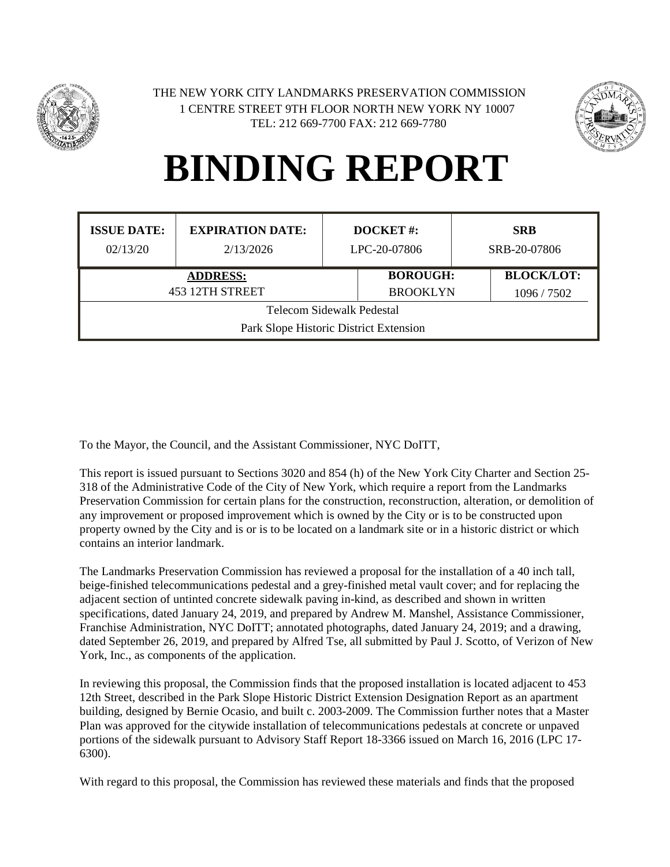



| <b>ISSUE DATE:</b><br>02/13/20                                      | <b>EXPIRATION DATE:</b><br>2/13/2026 | <b>DOCKET#:</b><br>LPC-20-07806    |  | <b>SRB</b><br>SRB-20-07806       |  |  |
|---------------------------------------------------------------------|--------------------------------------|------------------------------------|--|----------------------------------|--|--|
|                                                                     | <b>ADDRESS:</b><br>453 12TH STREET   | <b>BOROUGH:</b><br><b>BROOKLYN</b> |  | <b>BLOCK/LOT:</b><br>1096 / 7502 |  |  |
| Telecom Sidewalk Pedestal<br>Park Slope Historic District Extension |                                      |                                    |  |                                  |  |  |

To the Mayor, the Council, and the Assistant Commissioner, NYC DoITT,

This report is issued pursuant to Sections 3020 and 854 (h) of the New York City Charter and Section 25- 318 of the Administrative Code of the City of New York, which require a report from the Landmarks Preservation Commission for certain plans for the construction, reconstruction, alteration, or demolition of any improvement or proposed improvement which is owned by the City or is to be constructed upon property owned by the City and is or is to be located on a landmark site or in a historic district or which contains an interior landmark.

The Landmarks Preservation Commission has reviewed a proposal for the installation of a 40 inch tall, beige-finished telecommunications pedestal and a grey-finished metal vault cover; and for replacing the adjacent section of untinted concrete sidewalk paving in-kind, as described and shown in written specifications, dated January 24, 2019, and prepared by Andrew M. Manshel, Assistance Commissioner, Franchise Administration, NYC DoITT; annotated photographs, dated January 24, 2019; and a drawing, dated September 26, 2019, and prepared by Alfred Tse, all submitted by Paul J. Scotto, of Verizon of New York, Inc., as components of the application.

In reviewing this proposal, the Commission finds that the proposed installation is located adjacent to 453 12th Street, described in the Park Slope Historic District Extension Designation Report as an apartment building, designed by Bernie Ocasio, and built c. 2003-2009. The Commission further notes that a Master Plan was approved for the citywide installation of telecommunications pedestals at concrete or unpaved portions of the sidewalk pursuant to Advisory Staff Report 18-3366 issued on March 16, 2016 (LPC 17- 6300).

With regard to this proposal, the Commission has reviewed these materials and finds that the proposed